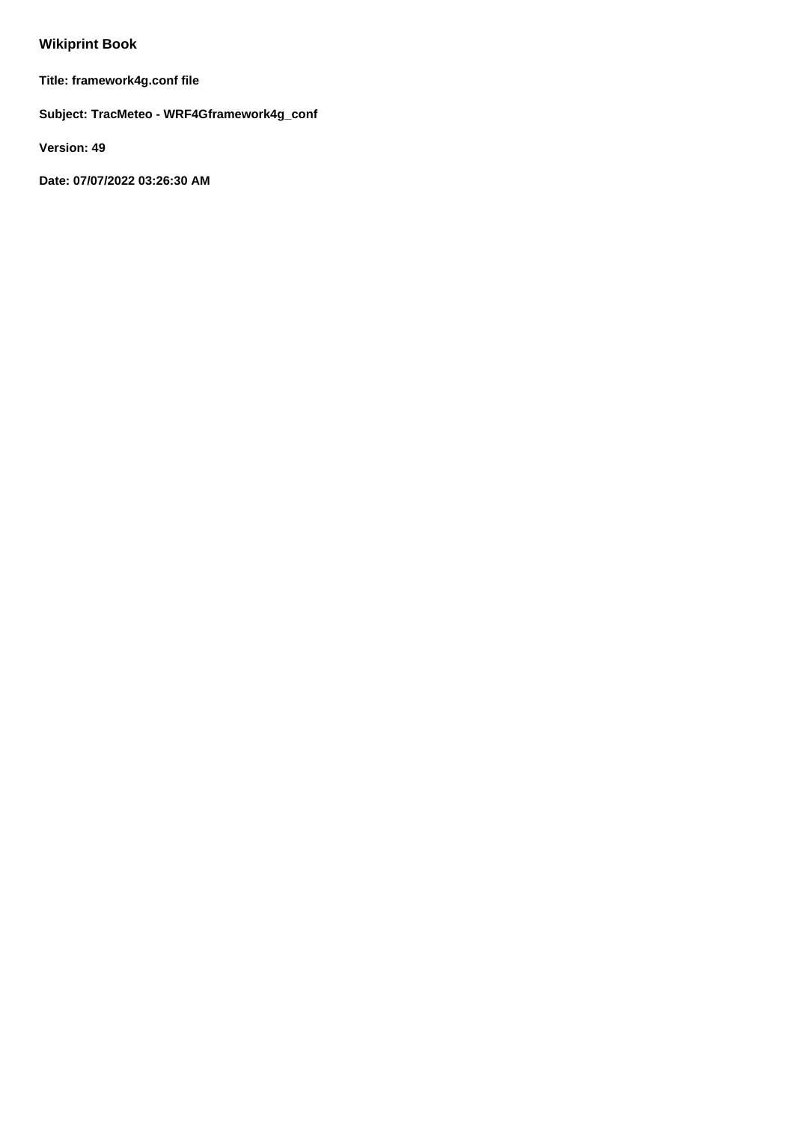# **Wikiprint Book**

**Title: framework4g.conf file**

**Subject: TracMeteo - WRF4Gframework4g\_conf**

**Version: 49**

**Date: 07/07/2022 03:26:30 AM**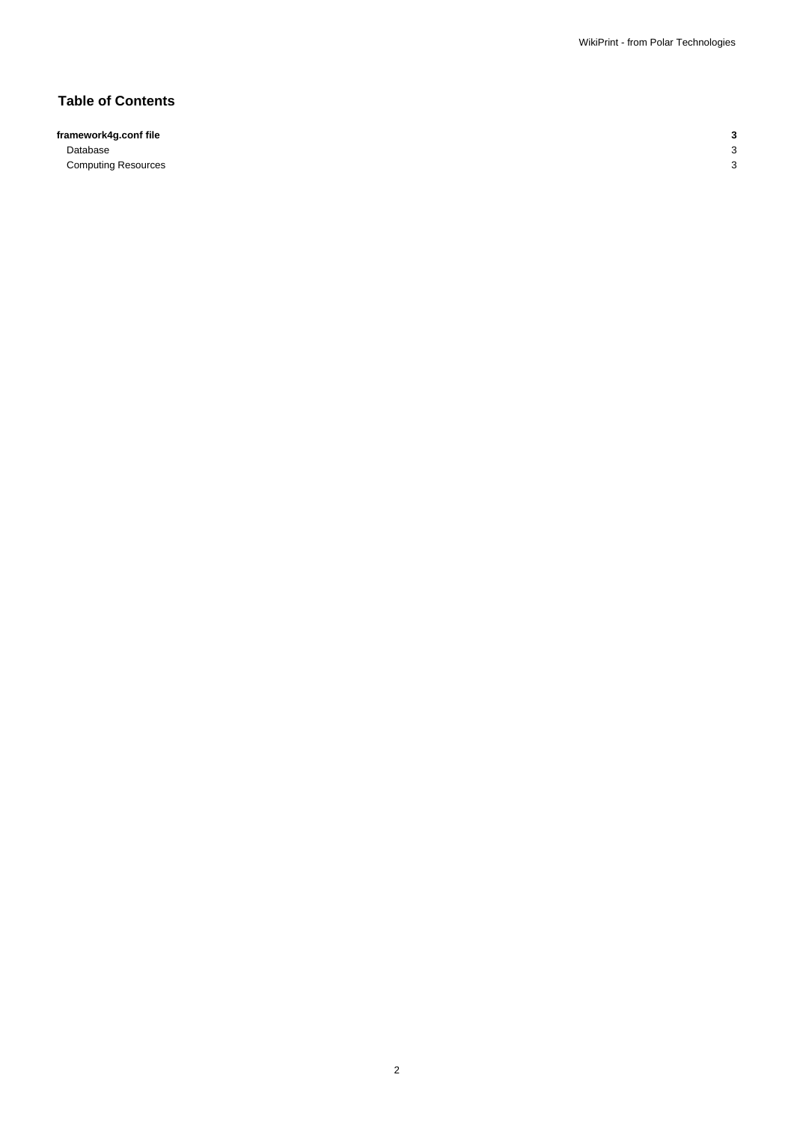# **Table of Contents**

**framework4g.conf file 3** Database 3

**Computing Resources** 3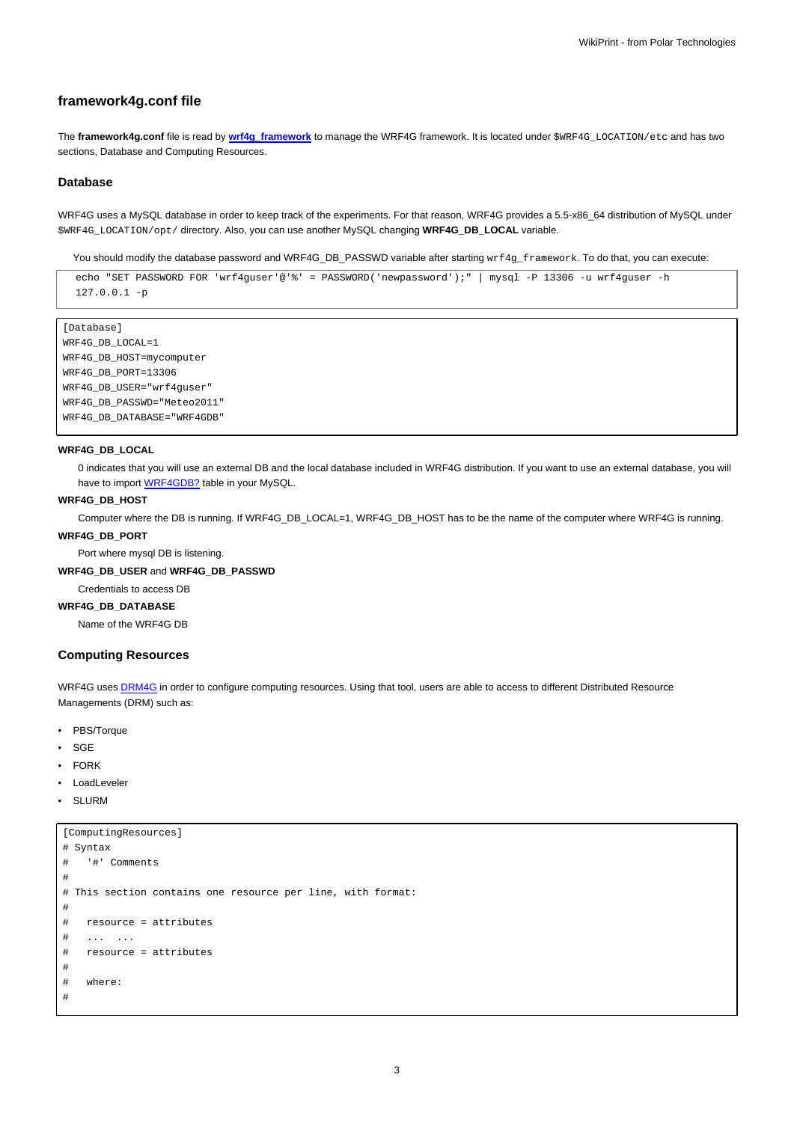# **framework4g.conf file**

The **framework4g.conf** file is read by **[wrf4g\\_framework](https://meteo.unican.es/trac/wiki/WRF4GCommandLineTools#wrf4g_framework)** to manage the WRF4G framework. It is located under \$WRF4G\_LOCATION/etc and has two sections, Database and Computing Resources.

#### **Database**

WRF4G uses a MySQL database in order to keep track of the experiments. For that reason, WRF4G provides a 5.5-x86\_64 distribution of MySQL under \$WRF4G\_LOCATION/opt/ directory. Also, you can use another MySQL changing **WRF4G\_DB\_LOCAL** variable.

You should modify the database password and WRF4G\_DB\_PASSWD variable after starting wrf4g\_framework. To do that, you can execute:

```
echo "SET PASSWORD FOR 'wrf4guser'@'%' = PASSWORD('newpassword');" | mysql -P 13306 -u wrf4guser -h
127.0.0.1 -p
```

```
[Database]
WRF4G_DB_LOCAL=1
WRF4G_DB_HOST=mycomputer
WRF4G_DB_PORT=13306
WRF4G_DB_USER="wrf4guser"
WRF4G_DB_PASSWD="Meteo2011"
WRF4G_DB_DATABASE="WRF4GDB"
```
# **WRF4G\_DB\_LOCAL**

0 indicates that you will use an external DB and the local database included in WRF4G distribution. If you want to use an external database, you will have to import **WRF4GDB?** table in your MySQL.

#### **WRF4G\_DB\_HOST**

Computer where the DB is running. If WRF4G\_DB\_LOCAL=1, WRF4G\_DB\_HOST has to be the name of the computer where WRF4G is running.

#### **WRF4G\_DB\_PORT**

Port where mysql DB is listening.

#### **WRF4G\_DB\_USER** and **WRF4G\_DB\_PASSWD**

Credentials to access DB

# **WRF4G\_DB\_DATABASE**

Name of the WRF4G DB

#### **Computing Resources**

WRF4G uses [DRM4G](https://meteo.unican.es/trac/wiki/DRM4G) in order to configure computing resources. Using that tool, users are able to access to different Distributed Resource Managements (DRM) such as:

- PBS/Torque
- **SGE**
- FORK
- LoadLeveler
- **SLURM**

```
[ComputingResources]
# Syntax
# '#' Comments
#
# This section contains one resource per line, with format:
#
# resource = attributes
# ... ...
# resource = attributes
#
# where:
#
```